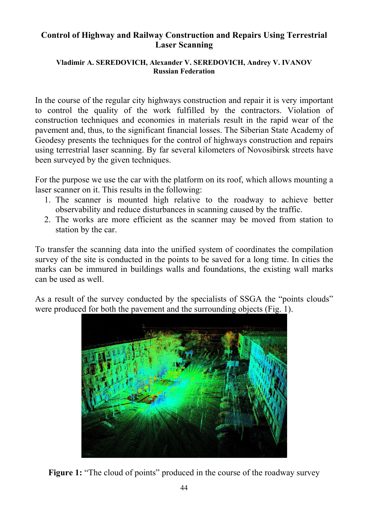## **Control of Highway and Railway Construction and Repairs Using Terrestrial Laser Scanning**

## **Vladimir A. SEREDOVICH, Alexander V. SEREDOVICH, Andrey V. IVANOV Russian Federation**

In the course of the regular city highways construction and repair it is very important to control the quality of the work fulfilled by the contractors. Violation of construction techniques and economies in materials result in the rapid wear of the pavement and, thus, to the significant financial losses. The Siberian State Academy of Geodesy presents the techniques for the control of highways construction and repairs using terrestrial laser scanning. By far several kilometers of Novosibirsk streets have been surveyed by the given techniques.

For the purpose we use the car with the platform on its roof, which allows mounting a laser scanner on it. This results in the following:

- 1. The scanner is mounted high relative to the roadway to achieve better observability and reduce disturbances in scanning caused by the traffic.
- 2. The works are more efficient as the scanner may be moved from station to station by the car.

To transfer the scanning data into the unified system of coordinates the compilation survey of the site is conducted in the points to be saved for a long time. In cities the marks can be immured in buildings walls and foundations, the existing wall marks can be used as well.

As a result of the survey conducted by the specialists of SSGA the "points clouds" were produced for both the pavement and the surrounding objects (Fig. 1).



**Figure 1:** "The cloud of points" produced in the course of the roadway survey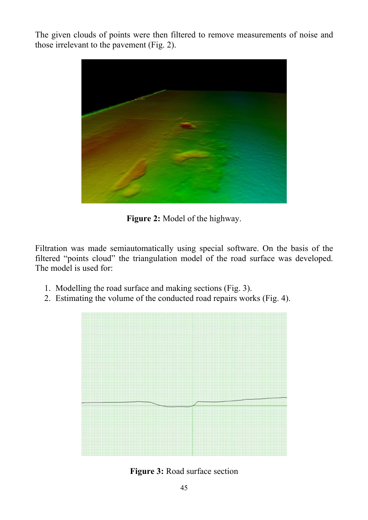The given clouds of points were then filtered to remove measurements of noise and those irrelevant to the pavement (Fig. 2).



**Figure 2:** Model of the highway.

Filtration was made semiautomatically using special software. On the basis of the filtered "points cloud" the triangulation model of the road surface was developed. The model is used for:

- 1. Modelling the road surface and making sections (Fig. 3).
- 2. Estimating the volume of the conducted road repairs works (Fig. 4).



**Figure 3:** Road surface section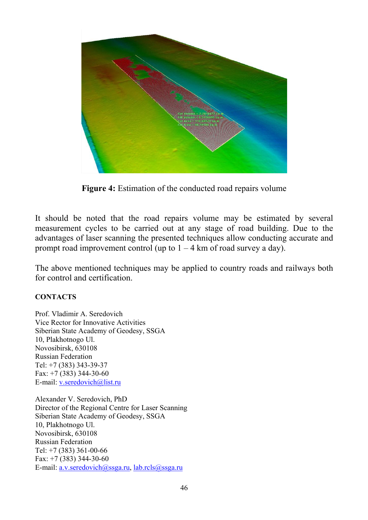

**Figure 4:** Estimation of the conducted road repairs volume

It should be noted that the road repairs volume may be estimated by several measurement cycles to be carried out at any stage of road building. Due to the advantages of laser scanning the presented techniques allow conducting accurate and prompt road improvement control (up to  $1 - 4$  km of road survey a day).

The above mentioned techniques may be applied to country roads and railways both for control and certification.

## **CONTACTS**

Prof. Vladimir A. Seredovich Vice Rector for Innovative Activities Siberian State Academy of Geodesy, SSGA 10, Plakhotnogo Ul. Novosibirsk, 630108 Russian Federation Tel: +7 (383) 343-39-37 Fax: +7 (383) 344-30-60 E-mail: v.seredovich@list.ru

Alexander V. Seredovich, PhD Director of the Regional Centre for Laser Scanning Siberian State Academy of Geodesy, SSGA 10, Plakhotnogo Ul. Novosibirsk, 630108 Russian Federation Tel: +7 (383) 361-00-66 Fax: +7 (383) 344-30-60 E-mail: a.v.seredovich@ssga.ru, lab.rcls@ssga.ru